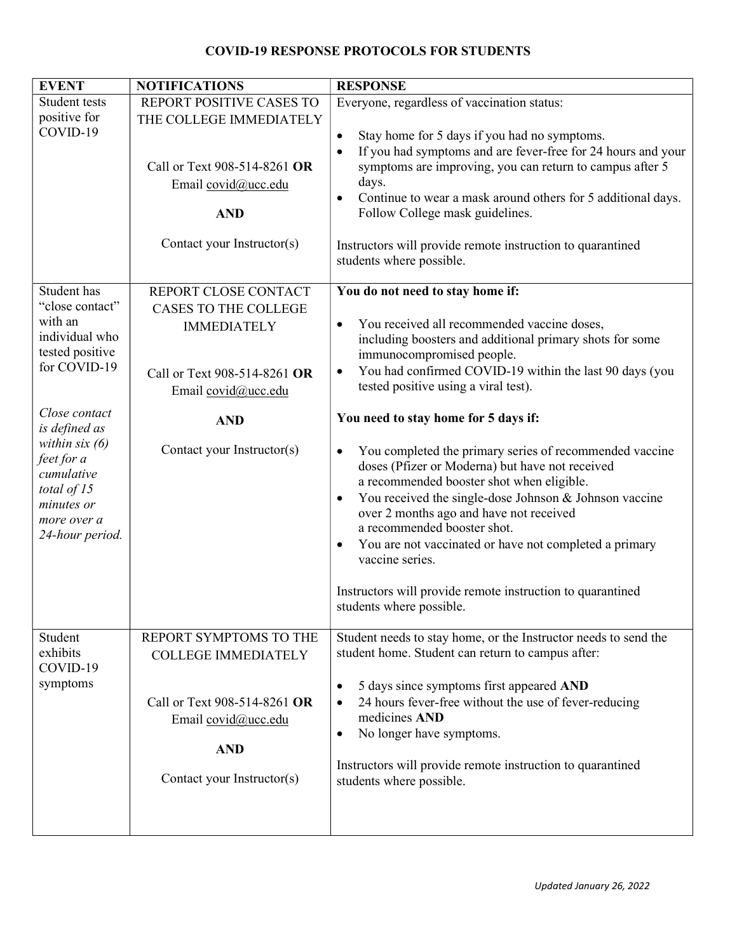## COVID-19 RESPONSE PROTOCOLS FOR STUDENTS

| <b>EVENT</b>                                                                                                                                   | <b>NOTIFICATIONS</b>                                                                            | <b>RESPONSE</b>                                                                                                                                                                                                                                                                                                                                                                                                                                                                                           |
|------------------------------------------------------------------------------------------------------------------------------------------------|-------------------------------------------------------------------------------------------------|-----------------------------------------------------------------------------------------------------------------------------------------------------------------------------------------------------------------------------------------------------------------------------------------------------------------------------------------------------------------------------------------------------------------------------------------------------------------------------------------------------------|
| Student tests                                                                                                                                  | REPORT POSITIVE CASES TO                                                                        | Everyone, regardless of vaccination status:                                                                                                                                                                                                                                                                                                                                                                                                                                                               |
| positive for<br>COVID-19                                                                                                                       | THE COLLEGE IMMEDIATELY<br>Call or Text 908-514-8261 OR<br>Email covid@ucc.edu<br><b>AND</b>    | Stay home for 5 days if you had no symptoms.<br>$\bullet$<br>If you had symptoms and are fever-free for 24 hours and your<br>$\bullet$<br>symptoms are improving, you can return to campus after 5<br>days.<br>Continue to wear a mask around others for 5 additional days.<br>$\bullet$<br>Follow College mask guidelines.                                                                                                                                                                               |
|                                                                                                                                                | Contact your Instructor(s)                                                                      | Instructors will provide remote instruction to quarantined<br>students where possible.                                                                                                                                                                                                                                                                                                                                                                                                                    |
| Student has                                                                                                                                    | REPORT CLOSE CONTACT                                                                            | You do not need to stay home if:                                                                                                                                                                                                                                                                                                                                                                                                                                                                          |
| "close contact"                                                                                                                                | <b>CASES TO THE COLLEGE</b>                                                                     |                                                                                                                                                                                                                                                                                                                                                                                                                                                                                                           |
| with an<br>individual who<br>tested positive<br>for COVID-19                                                                                   | <b>IMMEDIATELY</b><br>Call or Text 908-514-8261 OR                                              | You received all recommended vaccine doses,<br>$\bullet$<br>including boosters and additional primary shots for some<br>immunocompromised people.<br>You had confirmed COVID-19 within the last 90 days (you<br>$\bullet$                                                                                                                                                                                                                                                                                 |
|                                                                                                                                                | Email covid@ucc.edu                                                                             | tested positive using a viral test).                                                                                                                                                                                                                                                                                                                                                                                                                                                                      |
| Close contact<br>is defined as<br>within $six(6)$<br>feet for a<br>cumulative<br>total of $15$<br>minutes or<br>more over a<br>24-hour period. | <b>AND</b>                                                                                      | You need to stay home for 5 days if:                                                                                                                                                                                                                                                                                                                                                                                                                                                                      |
|                                                                                                                                                | Contact your Instructor(s)                                                                      | You completed the primary series of recommended vaccine<br>$\bullet$<br>doses (Pfizer or Moderna) but have not received<br>a recommended booster shot when eligible.<br>You received the single-dose Johnson & Johnson vaccine<br>$\bullet$<br>over 2 months ago and have not received<br>a recommended booster shot.<br>You are not vaccinated or have not completed a primary<br>$\bullet$<br>vaccine series.<br>Instructors will provide remote instruction to quarantined<br>students where possible. |
| Student<br>exhibits<br>COVID-19<br>symptoms                                                                                                    | REPORT SYMPTOMS TO THE<br><b>COLLEGE IMMEDIATELY</b>                                            | Student needs to stay home, or the Instructor needs to send the<br>student home. Student can return to campus after:                                                                                                                                                                                                                                                                                                                                                                                      |
|                                                                                                                                                | Call or Text 908-514-8261 OR<br>Email covid@ucc.edu<br><b>AND</b><br>Contact your Instructor(s) | 5 days since symptoms first appeared AND<br>$\bullet$<br>24 hours fever-free without the use of fever-reducing<br>٠<br>medicines AND<br>No longer have symptoms.<br>$\bullet$<br>Instructors will provide remote instruction to quarantined<br>students where possible.                                                                                                                                                                                                                                   |